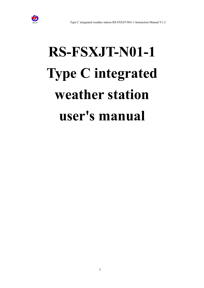

# **RS-FSXJT-N01-1 Type C integrated weather station user's manual**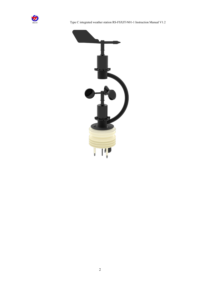

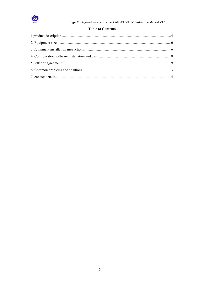

#### **Table of Contents**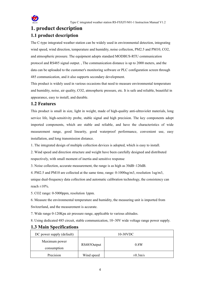

## <span id="page-3-0"></span>**1. product description**

## **1.1 product description**

The C-type integrated weather station can be widely used in environmental detection, integrating wind speed, wind direction, temperature and humidity, noise collection, PM2.5 and PM10, CO2, and atmospheric pressure. The equipment adopts standard MODBUS-RTU communication protocol and RS485 signal output. , The communication distance is up to 2000 meters, and the data can be uploaded to the customer's monitoring software or PLC configuration screen through 485 communication, and it also supports secondary development.

This product is widely used in various occasions that need to measure environmental temperature and humidity, noise, air quality, CO2, atmospheric pressure, etc. It is safe and reliable, beautiful in appearance, easy to install, and durable.

## **1.2 Features**

This product is small in size, light in weight, made of high-quality anti-ultraviolet materials, long service life, high-sensitivity probe, stable signal and high precision. The key components adopt imported components, which are stable and reliable, and have the characteristics of wide measurement range, good linearity, good waterproof performance, convenient use, easy installation, and long transmission distance.

1. The integrated design of multiple collection devices is adopted, which is easy to install.

2. Wind speed and direction structure and weight have been carefully designed and distributed respectively, with small moment of inertia and sensitive response

3. Noise collection, accurate measurement, the range is as high as 30dB~120dB.

4. PM2.5 and PM10 are collected at the same time, range: 0-1000ug/m3, resolution 1ug/m3,

unique dual-frequency data collection and automatic calibration technology, the consistency can reach  $\pm 10\%$ .

5. CO2 range: 0-5000ppm, resolution 1ppm.

6. Measure the environmental temperature and humidity, the measuring unit is imported from Switzerland, and the measurement is accurate.

7. Wide range 0-120Kpa air pressure range, applicable to various altitudes.

8. Using dedicated 485 circuit, stable communication,  $10~30V$  wide voltage range power supply.

| DC power supply (default) |             | 10-30VDC      |  |
|---------------------------|-------------|---------------|--|
| Maximum power             | RS485Output | 0.8W          |  |
| consumption               |             |               |  |
| Precision                 | Wind speed  | $\pm 0.3$ m/s |  |

#### **1.3 Main Specifications**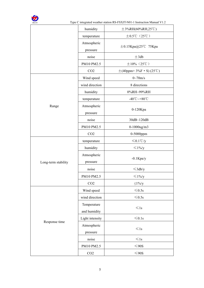

|                     | humidity        | $\pm$ 3%RH(60%RH,25°C)                                    |  |
|---------------------|-----------------|-----------------------------------------------------------|--|
|                     | temperature     | $\pm\,0.5\,^{\circ}\mathrm{C}$ (25 $^{\circ}\mathrm{C}$ ) |  |
|                     | Atmospheric     |                                                           |  |
|                     | pressure        | $\pm$ 0.15Kpa@25°C 75Kpa                                  |  |
|                     | noise           | ±3db                                                      |  |
|                     | PM10 PM2.5      | $\pm\,10\%$ (25°C)                                        |  |
|                     | CO <sub>2</sub> | $\pm$ (40ppm+3%F • S)(25°C)                               |  |
|                     | Wind speed      | $0 - 70m/s$                                               |  |
|                     | wind direction  | 8 directions                                              |  |
|                     | humidity        | 0%RH~99%RH                                                |  |
|                     | temperature     | $-40^{\circ}$ C $\sim$ +80 $^{\circ}$ C                   |  |
| Range               | Atmospheric     |                                                           |  |
|                     | pressure        | 0-120Kpa                                                  |  |
|                     | noise           | $30dB - 120dB$                                            |  |
|                     | PM10 PM2.5      | $0\mbox{-}1000$ ug/m3                                     |  |
|                     | CO <sub>2</sub> | 0-5000ppm                                                 |  |
|                     | temperature     | ≤ 0.1 °C/y                                                |  |
|                     | humidity        | $≤1\%y$                                                   |  |
|                     | Atmospheric     | $-0.1$ Kpa/y                                              |  |
| Long-term stability | pressure        |                                                           |  |
|                     | noise           | $\leq$ 3db/y                                              |  |
|                     | PM10 PM2.5      | $\leqslant$ 1%/y                                          |  |
|                     | CO <sub>2</sub> | ${\leq}1\%/{\rm y}$                                       |  |
|                     | Wind speed      | $\leq 0.5s$                                               |  |
|                     | wind direction  | $\leq 0.5s$                                               |  |
|                     | Temperature     |                                                           |  |
|                     | and humidity    | $\leq 1s$                                                 |  |
|                     | Light intensity | ${\leq}0.1\mathrm{s}$                                     |  |
| Response time       | Atmospheric     |                                                           |  |
|                     | pressure        | $\leq 1s$                                                 |  |
|                     | noise           | $\leqslant$ ls                                            |  |
|                     | PM10 PM2.5      | $≤90S$                                                    |  |
|                     | CO <sub>2</sub> | ${\leq}90{\rm S}$                                         |  |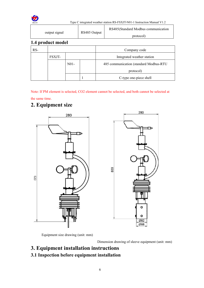

| output signal |                   |                 | RS485 Output |                        | RS485(Standard Modbus communication    |  |  |  |
|---------------|-------------------|-----------------|--------------|------------------------|----------------------------------------|--|--|--|
|               |                   |                 |              |                        | protocol)                              |  |  |  |
|               | 1.4 product model |                 |              |                        |                                        |  |  |  |
| RS-           |                   |                 |              |                        | Company code                           |  |  |  |
|               | FSXJT-            |                 |              |                        | Integrated weather station             |  |  |  |
|               |                   | N <sub>01</sub> |              |                        | 485 communication (standard Modbus-RTU |  |  |  |
|               |                   |                 |              | protocol)              |                                        |  |  |  |
|               |                   |                 |              | C-type one-piece shell |                                        |  |  |  |

<span id="page-5-0"></span>Note: If PM element is selected, CO2 element cannot be selected, and both cannot be selected at

the same time.

## **2. Equipment size**



Equipment size drawing (unit: mm)

Dimension drawing of sleeve equipment (unit: mm)

## <span id="page-5-1"></span>**3. Equipment installation instructions**

## **3.1 Inspection before equipment installation**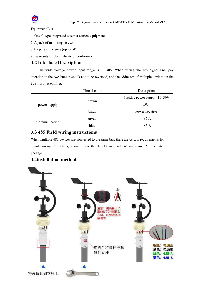

Equipment List:

- 1. One C type integrated weather station equipment
- 2. A pack of mounting screws
- 3.2m pole and sleeve (optional)
- 4. Warranty card, certificate of conformity

#### **3.2 Interface Description**

The wide voltage power input range is 10~30V. When wiring the 485 signal line, pay attention to the two lines A and B not to be reversed, and the addresses of multiple devices on the bus must not conflict.

|               | Thread color | Description                      |
|---------------|--------------|----------------------------------|
|               |              | Positive power supply $(10-30V)$ |
| power supply  | brown        | DC)                              |
|               | black        | Power negative                   |
|               | green        | $485-A$                          |
| Communication | blue         | $485-B$                          |

#### **3.3 485 Field wiring instructions**

When multiple 485 devices are connected to the same bus, there are certain requirements for on-site wiring. For details, please referto the "485 Device Field Wiring Manual" in the data package.

#### **3.4installation method**

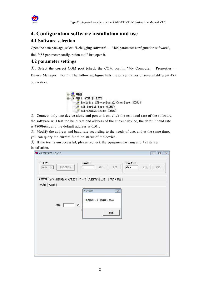

## <span id="page-7-0"></span>**4. Configuration software installation and use 4.1 Software selection**

Open the data package, select "Debugging software" --- "485 parameter configuration software",

find "485 parameter configuration tool" Just open it.

#### **4.2 parameter settings**

① . Select the correct COM port (check the COM port in "My Computer — Properties — Device Manager—Port"). The following figure lists the driver names of several different 485 converters.



② Connect only one device alone and power it on, click the test baud rate of the software, the software will test the baud rate and address of the current device, the default baud rate is 4800bit/s, and the default address is 0x01.

③. Modify the address and baud rate according to the needs of use, and at the same time, you can query the current function status of the device.

④. If the test is unsuccessful, please recheck the equipment wiring and 485 driver installation.

| <b>◆ 485参数配置工具V3.0</b>               |                                                                  | 23<br>回<br>$\frac{1}{2}$ |
|--------------------------------------|------------------------------------------------------------------|--------------------------|
| 串口号<br>测试波特率<br>COM3<br>$\mathbf{v}$ | 设备地址<br>设备波特率<br>查询<br>设置<br>4800<br>$\vert$ 1                   | 设置<br>查询                 |
| 单温度   温湿度                            | 温湿度类   水漫 烟感  红外   光照度类   气体类   风速 风向   土壤     气象传感器             |                          |
| 温度                                   | $\Sigma\!$<br>测试结果<br>设备地址: 1 波特率: 4800<br>$\rm \tilde{C}$<br>确定 |                          |
|                                      |                                                                  |                          |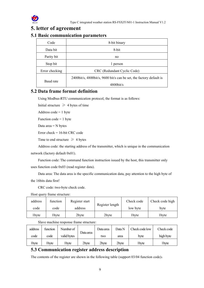

## <span id="page-8-0"></span>**5. letter of agreement**

### **5.1 Basic communication parameters**

| Code           | 8-bit binary                                                          |  |  |  |  |
|----------------|-----------------------------------------------------------------------|--|--|--|--|
| Data bit       | 8-bit                                                                 |  |  |  |  |
| Parity bit     | no                                                                    |  |  |  |  |
| Stop bit       | l person                                                              |  |  |  |  |
| Error checking | CRC (Redundant Cyclic Code)                                           |  |  |  |  |
|                | 2400 bit/s, 4800 bit/s, 9600 bit/s can be set, the factory default is |  |  |  |  |
| Baud rate      | $4800$ hit/s                                                          |  |  |  |  |

#### **5.2 Data frame format definition**

Using Modbus-RTU communication protocol, the format is as follows:

Initial structure  $\geq 4$  bytes of time

Address  $code = 1 byte$ 

Function  $code = 1 byte$ 

Data area  $=$  N bytes

Error check = 16-bit CRC code

Time to end structure  $\geq 4$  bytes

Address code: the starting address of the transmitter, which is unique in the communication network (factory default 0x01).

Function code: The command function instruction issued by the host, this transmitter only uses function code 0x03 (read register data).

Data area: The data area is the specific communication data, pay attention to the high byte of the 16bits data first!

CRC code: two-byte check code.

Host query frame structure:

| address | function | Register start | Register length | Check code | Check code high |
|---------|----------|----------------|-----------------|------------|-----------------|
| code    | code     | address        |                 | low byte   | byte            |
| l byte  | l byte   | 2byte          | 2byte           | 1 byte     | 1 bvte          |

Slave machine response frame structure:

| address | function | Number of   | Data area | Data area | Data N | Check code low | Check code |
|---------|----------|-------------|-----------|-----------|--------|----------------|------------|
| code    | code     | valid bytes |           | two       | area   | byte           | high byte  |
| 1byte   | 1byte    | 1byte       | 2byte     | 2byte     | 2byte  | 1bvte          | 1byte      |

## **5.3 Communication register address description**

The contents of the register are shown in the following table (support  $03/04$  function code):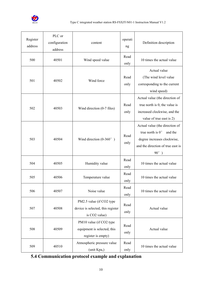

| Register<br>address | PLC or<br>configuration<br>address | content                                                                        | operati<br>ng | Definition description                                                                                                                                     |
|---------------------|------------------------------------|--------------------------------------------------------------------------------|---------------|------------------------------------------------------------------------------------------------------------------------------------------------------------|
| 500                 | 40501                              | Wind speed value                                                               | Read<br>only  | 10 times the actual value                                                                                                                                  |
| 501                 | 40502                              | Wind force                                                                     | Read<br>only  | Actual value<br>(The wind level value<br>corresponding to the current<br>wind speed)                                                                       |
| 502                 | 40503                              | Wind direction (0-7 files)                                                     | Read<br>only  | Actual value (the direction of<br>true north is 0, the value is<br>increased clockwise, and the<br>value of true east is 2)                                |
| 503                 | 40504                              | Wind direction $(0-360^\circ)$                                                 | Read<br>only  | Actual value (the direction of<br>true north is $0^{\circ}$<br>and the<br>degree increases clockwise,<br>and the direction of true east is<br>$90^\circ$ ) |
| 504                 | 40505                              | Humidity value                                                                 | Read<br>only  | 10 times the actual value                                                                                                                                  |
| 505                 | 40506                              | Temperature value                                                              | Read<br>only  | 10 times the actual value                                                                                                                                  |
| 506                 | 40507                              | Noise value                                                                    | Read<br>only  | 10 times the actual value                                                                                                                                  |
| 507                 | 40508                              | PM2.5 value (if CO2 type<br>device is selected, this register<br>is CO2 value) | Read<br>only  | Actual value                                                                                                                                               |
| 508                 | 40509                              | PM10 value (if CO2 type<br>equipment is selected, this<br>register is empty)   | Read<br>only  | Actual value                                                                                                                                               |
| 509                 | 40510                              | Atmospheric pressure value<br>(unit Kpa,)                                      | Read<br>only  | 10 times the actual value                                                                                                                                  |

## **5.4 Communication protocol example and explanation**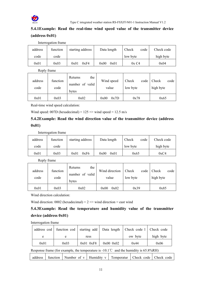

## **5.4.1Example: Read the real-time wind speed value of the transmitter device (address 0x01)**

| Interrogation frame |  |
|---------------------|--|
|---------------------|--|

| address | function | starting address | Data length  | Check<br>code | Check code |
|---------|----------|------------------|--------------|---------------|------------|
| code    | code     |                  |              | low byte      | high byte  |
| 0x01    | 0x03     | 0xF4<br>0x01     | 0x00<br>0x01 | 0xC4          | 0x04       |

#### Reply frame

| function<br>address<br>code<br>code | Returns<br>the<br>number of valid<br>bytes | Wind speed<br>value | Check<br>code<br>low byte | Check<br>code<br>high byte |
|-------------------------------------|--------------------------------------------|---------------------|---------------------------|----------------------------|
| 0x03<br>0x01                        | 0x02                                       | 0x00<br>0x7D        | 0x78                      | 0x65                       |

Real-time wind speed calculation:

Wind speed: 007D (hexadecimal) =  $125$  => wind speed =  $12.5$  m/s

## **5.4.2Example: Read the wind direction value of the transmitter device (address 0x01)**

Interrogation frame

| address | function | starting address | Data length  | Check<br>code | Check code |
|---------|----------|------------------|--------------|---------------|------------|
| code    | code     |                  |              | low byte      | high byte  |
| 0x01    | 0x03     | 0x01<br>0xF6     | 0x00<br>0x01 | 0x65          | 0xC4       |

Reply frame

| address<br>code | function<br>code | Returns<br>the<br>number of valid<br>bytes | Wind direction<br>value | $\mathsf{C}\mathsf{heck}$<br>code<br>low byte | Check<br>code<br>high byte |
|-----------------|------------------|--------------------------------------------|-------------------------|-----------------------------------------------|----------------------------|
| 0x01            | 0x03             | 0x02                                       | 0x02<br>0x00            | 0x39                                          | 0x85                       |

Wind direction calculation:

Wind direction: 0002 (hexadecimal) =  $2 \implies$  wind direction = east wind

## **5.4.3Example: Read the temperature and humidity value of the transmitter device (address 0x01)**

Interrogation frame

|      |      |               |           | address cod   function cod   starting add   Data length   Check code 1   Check code |           |
|------|------|---------------|-----------|-------------------------------------------------------------------------------------|-----------|
| e    | e    | ress          |           | ow byte                                                                             | high byte |
| 0x01 | 0x03 | $0x01$ $0xF8$ | 0x0000x02 | 0x44                                                                                | 0x06      |

Response frame (for example, the temperature is -10.1℃ and the humidity is 65.8%RH)

| address<br>Check<br>$\cap$ heck<br>Humidity v<br>code<br>action<br>remperatur<br>Number<br>code<br>- of |
|---------------------------------------------------------------------------------------------------------|
|---------------------------------------------------------------------------------------------------------|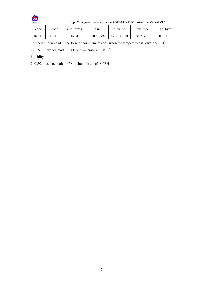

| code | code | alid bytes | alue          | e value       | byte<br>low | high byte |
|------|------|------------|---------------|---------------|-------------|-----------|
| 0x01 | 0x03 | 0x04       | $0x02$ $0x92$ | $0xFF$ $0x9B$ | 0x5A        | 0x3D      |

Temperature: upload in the form of complement code when the temperature is lower than 0℃

0xFF9B (hexadecimal) =  $-101$  => temperature =  $-10.1$ °C

humidity:

<span id="page-11-0"></span>0x0292 (hexadecimal) =  $658$  => humidity =  $65.8\%$ RH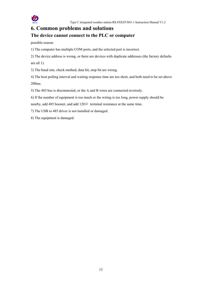

#### **6. Common problems and solutions**

#### **The device cannot connect to the PLC or computer**

possible reason:

1) The computer has multiple COM ports, and the selected port is incorrect.

2) The device address is wrong, or there are devices with duplicate addresses (the factory defaults are all 1).

3) The baud rate, check method, data bit, stop bit are wrong.

4) The host polling interval and waiting response time are too short, and both need to be set above 200ms.

5) The 485 bus is disconnected, or the A and B wires are connected reversely.

6) If the number of equipment is too much or the wiring is too long, power supply should be

nearby, add 485 booster, and add  $120 \Omega$  terminal resistance at the same time.

7) The USB to 485 driver is not installed or damaged.

8) The equipment is damaged.